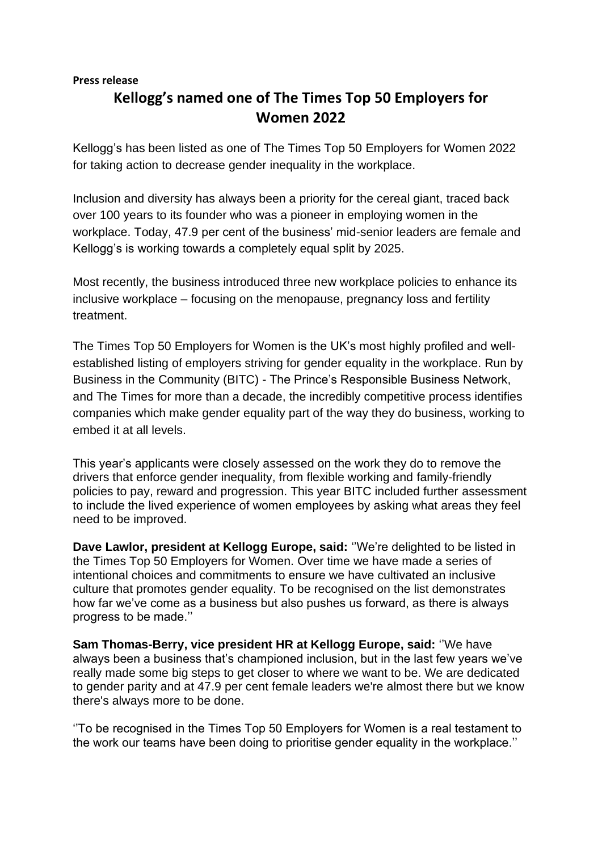## **Press release**

## **Kellogg's named one of The Times Top 50 Employers for Women 2022**

Kellogg's has been listed as one of The Times Top 50 Employers for Women 2022 for taking action to decrease gender inequality in the workplace.

Inclusion and diversity has always been a priority for the cereal giant, traced back over 100 years to its founder who was a pioneer in employing women in the workplace. Today, 47.9 per cent of the business' mid-senior leaders are female and Kellogg's is working towards a completely equal split by 2025.

Most recently, the business introduced three new workplace policies to enhance its inclusive workplace – focusing on the menopause, pregnancy loss and fertility treatment.

The Times Top 50 Employers for Women is the UK's most highly profiled and wellestablished listing of employers striving for gender equality in the workplace. Run by Business in the Community (BITC) - The Prince's Responsible Business Network, and The Times for more than a decade, the incredibly competitive process identifies companies which make gender equality part of the way they do business, working to embed it at all levels.

This year's applicants were closely assessed on the work they do to remove the drivers that enforce gender inequality, from flexible working and family-friendly policies to pay, reward and progression. This year BITC included further assessment to include the lived experience of women employees by asking what areas they feel need to be improved.

**Dave Lawlor, president at Kellogg Europe, said:** ''We're delighted to be listed in the Times Top 50 Employers for Women. Over time we have made a series of intentional choices and commitments to ensure we have cultivated an inclusive culture that promotes gender equality. To be recognised on the list demonstrates how far we've come as a business but also pushes us forward, as there is always progress to be made.''

**Sam Thomas-Berry, vice president HR at Kellogg Europe, said:** ''We have always been a business that's championed inclusion, but in the last few years we've really made some big steps to get closer to where we want to be. We are dedicated to gender parity and at 47.9 per cent female leaders we're almost there but we know there's always more to be done.

''To be recognised in the Times Top 50 Employers for Women is a real testament to the work our teams have been doing to prioritise gender equality in the workplace.''